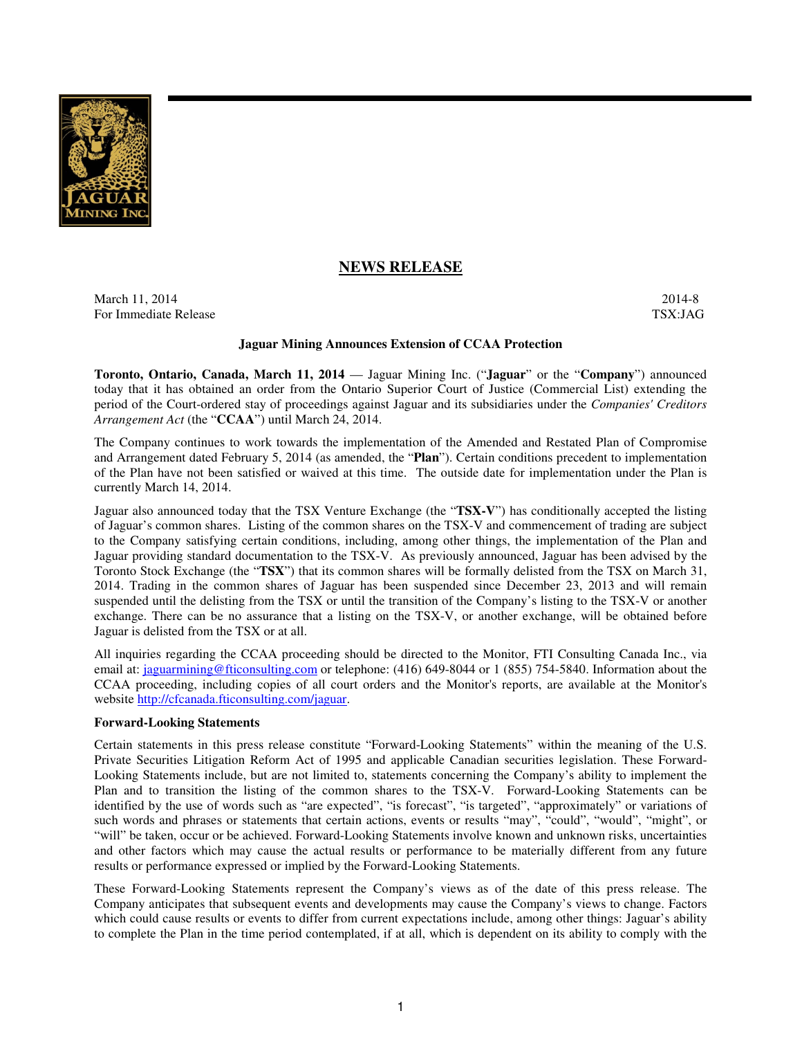

# **NEWS RELEASE**

March 11, 2014 2014-8 For Immediate Release TSX:JAG

#### **Jaguar Mining Announces Extension of CCAA Protection**

**Toronto, Ontario, Canada, March 11, 2014** — Jaguar Mining Inc. ("**Jaguar**" or the "**Company**") announced today that it has obtained an order from the Ontario Superior Court of Justice (Commercial List) extending the period of the Court-ordered stay of proceedings against Jaguar and its subsidiaries under the *Companies' Creditors Arrangement Act* (the "**CCAA**") until March 24, 2014.

The Company continues to work towards the implementation of the Amended and Restated Plan of Compromise and Arrangement dated February 5, 2014 (as amended, the "**Plan**"). Certain conditions precedent to implementation of the Plan have not been satisfied or waived at this time. The outside date for implementation under the Plan is currently March 14, 2014.

Jaguar also announced today that the TSX Venture Exchange (the "**TSX-V**") has conditionally accepted the listing of Jaguar's common shares. Listing of the common shares on the TSX-V and commencement of trading are subject to the Company satisfying certain conditions, including, among other things, the implementation of the Plan and Jaguar providing standard documentation to the TSX-V. As previously announced, Jaguar has been advised by the Toronto Stock Exchange (the "**TSX**") that its common shares will be formally delisted from the TSX on March 31, 2014. Trading in the common shares of Jaguar has been suspended since December 23, 2013 and will remain suspended until the delisting from the TSX or until the transition of the Company's listing to the TSX-V or another exchange. There can be no assurance that a listing on the TSX-V, or another exchange, will be obtained before Jaguar is delisted from the TSX or at all.

All inquiries regarding the CCAA proceeding should be directed to the Monitor, FTI Consulting Canada Inc., via email at: jaguarmining@fticonsulting.com or telephone: (416) 649-8044 or 1 (855) 754-5840. Information about the CCAA proceeding, including copies of all court orders and the Monitor's reports, are available at the Monitor's website http://cfcanada.fticonsulting.com/jaguar.

### **Forward-Looking Statements**

Certain statements in this press release constitute "Forward-Looking Statements" within the meaning of the U.S. Private Securities Litigation Reform Act of 1995 and applicable Canadian securities legislation. These Forward-Looking Statements include, but are not limited to, statements concerning the Company's ability to implement the Plan and to transition the listing of the common shares to the TSX-V. Forward-Looking Statements can be identified by the use of words such as "are expected", "is forecast", "is targeted", "approximately" or variations of such words and phrases or statements that certain actions, events or results "may", "could", "would", "might", or "will" be taken, occur or be achieved. Forward-Looking Statements involve known and unknown risks, uncertainties and other factors which may cause the actual results or performance to be materially different from any future results or performance expressed or implied by the Forward-Looking Statements.

These Forward-Looking Statements represent the Company's views as of the date of this press release. The Company anticipates that subsequent events and developments may cause the Company's views to change. Factors which could cause results or events to differ from current expectations include, among other things: Jaguar's ability to complete the Plan in the time period contemplated, if at all, which is dependent on its ability to comply with the